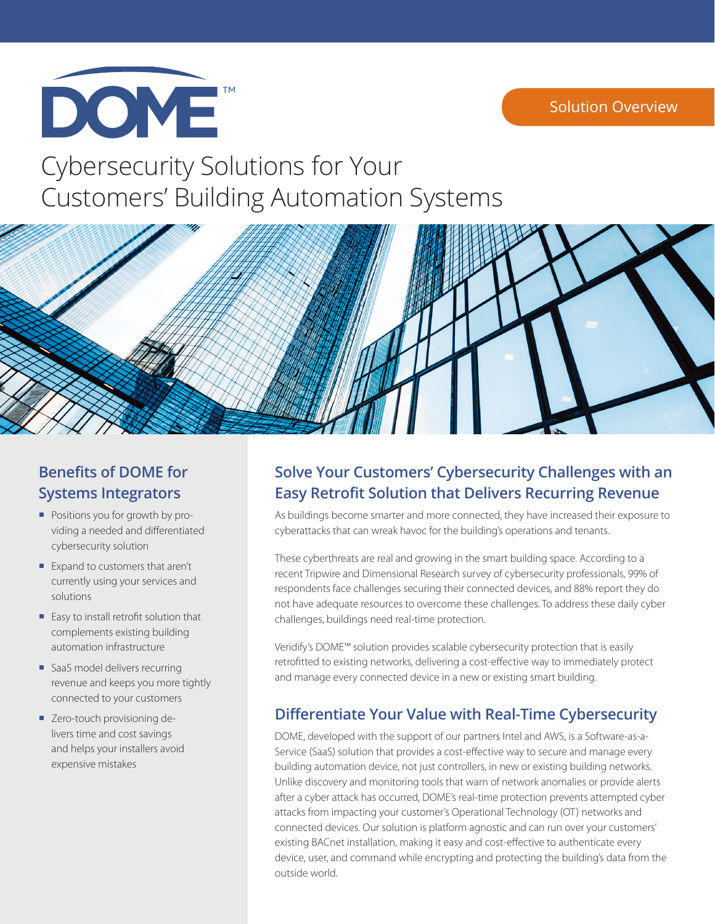

# Cybersecurity Solutions for Your Customers' Building Automation Systems



# **Benefits of DOME for Systems Integrators**

- **Positions you for growth by pro**viding a needed and differentiated cybersecurity solution
- Expand to customers that aren't currently using your services and solutions
- **Easy to install retrofit solution that** complements existing building automation infrastructure
- SaaS model delivers recurring revenue and keeps you more tightly connected to your customers
- **E** Zero-touch provisioning delivers time and cost savings and helps your installers avoid expensive mistakes

# **Solve Your Customers' Cybersecurity Challenges with an Easy Retrofit Solution that Delivers Recurring Revenue**

As buildings become smarter and more connected, they have increased their exposure to cyberattacks that can wreak havoc for the building's operations and tenants.

These cyberthreats are real and growing in the smart building space. According to a recent Tripwire and Dimensional Research survey of cybersecurity professionals, 99% of respondents face challenges securing their connected devices, and 88% report they do not have adequate resources to overcome these challenges. To address these daily cyber challenges, buildings need real-time protection.

Veridify's DOME™ solution provides scalable cybersecurity protection that is easily retrofitted to existing networks, delivering a cost-effective way to immediately protect and manage every connected device in a new or existing smart building.

### **Differentiate Your Value with Real-Time Cybersecurity**

DOME, developed with the support of our partners Intel and AWS, is a Software-as-a-Service (SaaS) solution that provides a cost-effective way to secure and manage every building automation device, not just controllers, in new or existing building networks. Unlike discovery and monitoring tools that warn of network anomalies or provide alerts after a cyber attack has occurred, DOME's real-time protection prevents attempted cyber attacks from impacting your customer's Operational Technology (OT) networks and connected devices. Our solution is platform agnostic and can run over your customers' existing BACnet installation, making it easy and cost-effective to authenticate every device, user, and command while encrypting and protecting the building's data from the outside world.